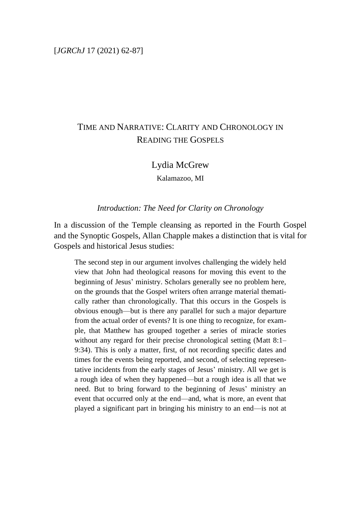# TIME AND NARRATIVE: CLARITY AND CHRONOLOGY IN READING THE GOSPELS

Lydia McGrew

Kalamazoo, MI

## *Introduction: The Need for Clarity on Chronology*

In a discussion of the Temple cleansing as reported in the Fourth Gospel and the Synoptic Gospels, Allan Chapple makes a distinction that is vital for Gospels and historical Jesus studies:

The second step in our argument involves challenging the widely held view that John had theological reasons for moving this event to the beginning of Jesus' ministry. Scholars generally see no problem here, on the grounds that the Gospel writers often arrange material thematically rather than chronologically. That this occurs in the Gospels is obvious enough—but is there any parallel for such a major departure from the actual order of events? It is one thing to recognize, for example, that Matthew has grouped together a series of miracle stories without any regard for their precise chronological setting (Matt 8:1– 9:34). This is only a matter, first, of not recording specific dates and times for the events being reported, and second, of selecting representative incidents from the early stages of Jesus' ministry. All we get is a rough idea of when they happened—but a rough idea is all that we need. But to bring forward to the beginning of Jesus' ministry an event that occurred only at the end—and, what is more, an event that played a significant part in bringing his ministry to an end—is not at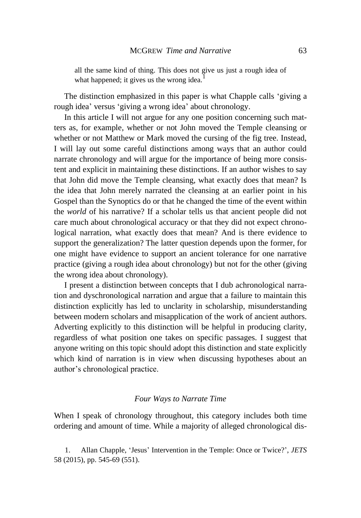all the same kind of thing. This does not give us just a rough idea of what happened; it gives us the wrong idea.<sup>1</sup>

The distinction emphasized in this paper is what Chapple calls 'giving a rough idea' versus 'giving a wrong idea' about chronology.

In this article I will not argue for any one position concerning such matters as, for example, whether or not John moved the Temple cleansing or whether or not Matthew or Mark moved the cursing of the fig tree. Instead, I will lay out some careful distinctions among ways that an author could narrate chronology and will argue for the importance of being more consistent and explicit in maintaining these distinctions. If an author wishes to say that John did move the Temple cleansing, what exactly does that mean? Is the idea that John merely narrated the cleansing at an earlier point in his Gospel than the Synoptics do or that he changed the time of the event within the *world* of his narrative? If a scholar tells us that ancient people did not care much about chronological accuracy or that they did not expect chronological narration, what exactly does that mean? And is there evidence to support the generalization? The latter question depends upon the former, for one might have evidence to support an ancient tolerance for one narrative practice (giving a rough idea about chronology) but not for the other (giving the wrong idea about chronology).

I present a distinction between concepts that I dub achronological narration and dyschronological narration and argue that a failure to maintain this distinction explicitly has led to unclarity in scholarship, misunderstanding between modern scholars and misapplication of the work of ancient authors. Adverting explicitly to this distinction will be helpful in producing clarity, regardless of what position one takes on specific passages. I suggest that anyone writing on this topic should adopt this distinction and state explicitly which kind of narration is in view when discussing hypotheses about an author's chronological practice.

## *Four Ways to Narrate Time*

When I speak of chronology throughout, this category includes both time ordering and amount of time. While a majority of alleged chronological dis-

1. Allan Chapple, 'Jesus' Intervention in the Temple: Once or Twice?', *JETS* 58 (2015), pp. 545-69 (551).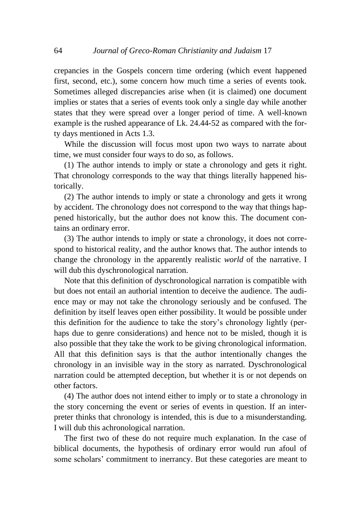crepancies in the Gospels concern time ordering (which event happened first, second, etc.), some concern how much time a series of events took. Sometimes alleged discrepancies arise when (it is claimed) one document implies or states that a series of events took only a single day while another states that they were spread over a longer period of time. A well-known example is the rushed appearance of Lk. 24.44-52 as compared with the forty days mentioned in Acts 1.3.

While the discussion will focus most upon two ways to narrate about time, we must consider four ways to do so, as follows.

(1) The author intends to imply or state a chronology and gets it right. That chronology corresponds to the way that things literally happened historically.

(2) The author intends to imply or state a chronology and gets it wrong by accident. The chronology does not correspond to the way that things happened historically, but the author does not know this. The document contains an ordinary error.

(3) The author intends to imply or state a chronology, it does not correspond to historical reality, and the author knows that. The author intends to change the chronology in the apparently realistic *world* of the narrative. I will dub this dyschronological narration.

Note that this definition of dyschronological narration is compatible with but does not entail an authorial intention to deceive the audience. The audience may or may not take the chronology seriously and be confused. The definition by itself leaves open either possibility. It would be possible under this definition for the audience to take the story's chronology lightly (perhaps due to genre considerations) and hence not to be misled, though it is also possible that they take the work to be giving chronological information. All that this definition says is that the author intentionally changes the chronology in an invisible way in the story as narrated. Dyschronological narration could be attempted deception, but whether it is or not depends on other factors.

(4) The author does not intend either to imply or to state a chronology in the story concerning the event or series of events in question. If an interpreter thinks that chronology is intended, this is due to a misunderstanding. I will dub this achronological narration.

The first two of these do not require much explanation. In the case of biblical documents, the hypothesis of ordinary error would run afoul of some scholars' commitment to inerrancy. But these categories are meant to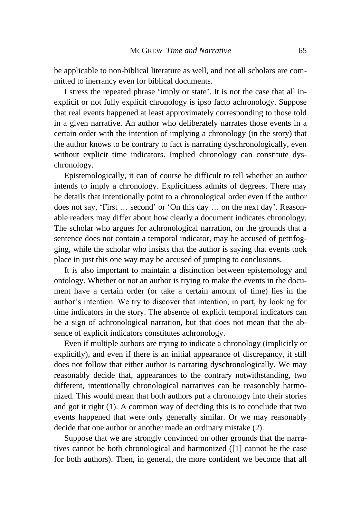be applicable to non-biblical literature as well, and not all scholars are committed to inerrancy even for biblical documents.

I stress the repeated phrase 'imply or state'. It is not the case that all inexplicit or not fully explicit chronology is ipso facto achronology. Suppose that real events happened at least approximately corresponding to those told in a given narrative. An author who deliberately narrates those events in a certain order with the intention of implying a chronology (in the story) that the author knows to be contrary to fact is narrating dyschronologically, even without explicit time indicators. Implied chronology can constitute dyschronology.

Epistemologically, it can of course be difficult to tell whether an author intends to imply a chronology. Explicitness admits of degrees. There may be details that intentionally point to a chronological order even if the author does not say, 'First … second' or 'On this day … on the next day'. Reasonable readers may differ about how clearly a document indicates chronology. The scholar who argues for achronological narration, on the grounds that a sentence does not contain a temporal indicator, may be accused of pettifogging, while the scholar who insists that the author is saying that events took place in just this one way may be accused of jumping to conclusions.

It is also important to maintain a distinction between epistemology and ontology. Whether or not an author is trying to make the events in the document have a certain order (or take a certain amount of time) lies in the author's intention. We try to discover that intention, in part, by looking for time indicators in the story. The absence of explicit temporal indicators can be a sign of achronological narration, but that does not mean that the absence of explicit indicators constitutes achronology.

Even if multiple authors are trying to indicate a chronology (implicitly or explicitly), and even if there is an initial appearance of discrepancy, it still does not follow that either author is narrating dyschronologically. We may reasonably decide that, appearances to the contrary notwithstanding, two different, intentionally chronological narratives can be reasonably harmonized. This would mean that both authors put a chronology into their stories and got it right (1). A common way of deciding this is to conclude that two events happened that were only generally similar. Or we may reasonably decide that one author or another made an ordinary mistake (2).

Suppose that we are strongly convinced on other grounds that the narratives cannot be both chronological and harmonized ([1] cannot be the case for both authors). Then, in general, the more confident we become that all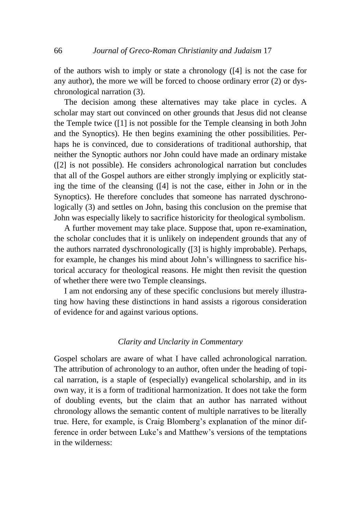of the authors wish to imply or state a chronology ([4] is not the case for any author), the more we will be forced to choose ordinary error (2) or dyschronological narration (3).

The decision among these alternatives may take place in cycles. A scholar may start out convinced on other grounds that Jesus did not cleanse the Temple twice ([1] is not possible for the Temple cleansing in both John and the Synoptics). He then begins examining the other possibilities. Perhaps he is convinced, due to considerations of traditional authorship, that neither the Synoptic authors nor John could have made an ordinary mistake ([2] is not possible). He considers achronological narration but concludes that all of the Gospel authors are either strongly implying or explicitly stating the time of the cleansing ([4] is not the case, either in John or in the Synoptics). He therefore concludes that someone has narrated dyschronologically (3) and settles on John, basing this conclusion on the premise that John was especially likely to sacrifice historicity for theological symbolism.

A further movement may take place. Suppose that, upon re-examination, the scholar concludes that it is unlikely on independent grounds that any of the authors narrated dyschronologically ([3] is highly improbable). Perhaps, for example, he changes his mind about John's willingness to sacrifice historical accuracy for theological reasons. He might then revisit the question of whether there were two Temple cleansings.

I am not endorsing any of these specific conclusions but merely illustrating how having these distinctions in hand assists a rigorous consideration of evidence for and against various options.

#### *Clarity and Unclarity in Commentary*

Gospel scholars are aware of what I have called achronological narration. The attribution of achronology to an author, often under the heading of topical narration, is a staple of (especially) evangelical scholarship, and in its own way, it is a form of traditional harmonization. It does not take the form of doubling events, but the claim that an author has narrated without chronology allows the semantic content of multiple narratives to be literally true. Here, for example, is Craig Blomberg's explanation of the minor difference in order between Luke's and Matthew's versions of the temptations in the wilderness: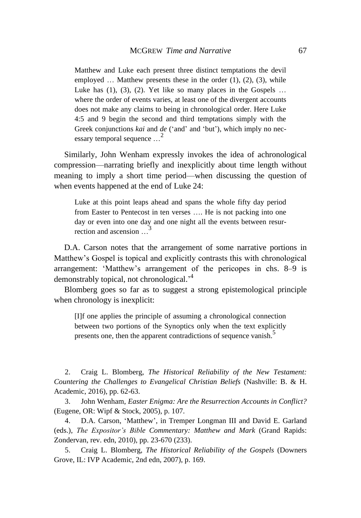Matthew and Luke each present three distinct temptations the devil employed  $\ldots$  Matthew presents these in the order (1), (2), (3), while Luke has  $(1)$ ,  $(3)$ ,  $(2)$ . Yet like so many places in the Gospels ... where the order of events varies, at least one of the divergent accounts does not make any claims to being in chronological order. Here Luke 4:5 and 9 begin the second and third temptations simply with the Greek conjunctions *kai* and *de* ('and' and 'but'), which imply no necessary temporal sequence ...<sup>2</sup>

Similarly, John Wenham expressly invokes the idea of achronological compression—narrating briefly and inexplicitly about time length without meaning to imply a short time period—when discussing the question of when events happened at the end of Luke 24:

Luke at this point leaps ahead and spans the whole fifty day period from Easter to Pentecost in ten verses …. He is not packing into one day or even into one day and one night all the events between resurrection and ascension ...<sup>3</sup>

D.A. Carson notes that the arrangement of some narrative portions in Matthew's Gospel is topical and explicitly contrasts this with chronological arrangement: 'Matthew's arrangement of the pericopes in chs. 8–9 is demonstrably topical, not chronological.<sup>4</sup>

Blomberg goes so far as to suggest a strong epistemological principle when chronology is inexplicit:

[I]f one applies the principle of assuming a chronological connection between two portions of the Synoptics only when the text explicitly presents one, then the apparent contradictions of sequence vanish.<sup>5</sup>

2. Craig L. Blomberg, *The Historical Reliability of the New Testament: Countering the Challenges to Evangelical Christian Beliefs* (Nashville: B. & H. Academic, 2016), pp. 62-63.

3. John Wenham, *Easter Enigma: Are the Resurrection Accounts in Conflict?* (Eugene, OR: Wipf & Stock, 2005), p. 107.

4. D.A. Carson, 'Matthew', in Tremper Longman III and David E. Garland (eds.), *The Expositor's Bible Commentary: Matthew and Mark* (Grand Rapids: Zondervan, rev. edn, 2010), pp. 23-670 (233).

5. Craig L. Blomberg, *The Historical Reliability of the Gospels* (Downers Grove, IL: IVP Academic, 2nd edn, 2007), p. 169.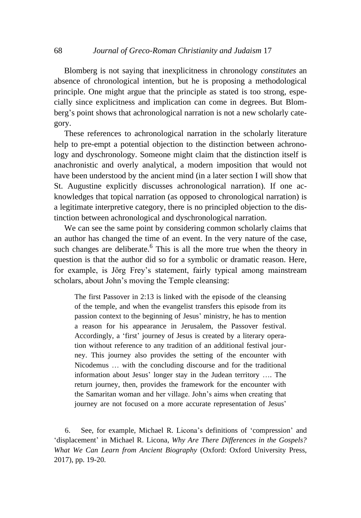Blomberg is not saying that inexplicitness in chronology *constitutes* an absence of chronological intention, but he is proposing a methodological principle. One might argue that the principle as stated is too strong, especially since explicitness and implication can come in degrees. But Blomberg's point shows that achronological narration is not a new scholarly category.

These references to achronological narration in the scholarly literature help to pre-empt a potential objection to the distinction between achronology and dyschronology. Someone might claim that the distinction itself is anachronistic and overly analytical, a modern imposition that would not have been understood by the ancient mind (in a later section I will show that St. Augustine explicitly discusses achronological narration). If one acknowledges that topical narration (as opposed to chronological narration) is a legitimate interpretive category, there is no principled objection to the distinction between achronological and dyschronological narration.

We can see the same point by considering common scholarly claims that an author has changed the time of an event. In the very nature of the case, such changes are deliberate.<sup>6</sup> This is all the more true when the theory in question is that the author did so for a symbolic or dramatic reason. Here, for example, is Jörg Frey's statement, fairly typical among mainstream scholars, about John's moving the Temple cleansing:

The first Passover in 2:13 is linked with the episode of the cleansing of the temple, and when the evangelist transfers this episode from its passion context to the beginning of Jesus' ministry, he has to mention a reason for his appearance in Jerusalem, the Passover festival. Accordingly, a 'first' journey of Jesus is created by a literary operation without reference to any tradition of an additional festival journey. This journey also provides the setting of the encounter with Nicodemus … with the concluding discourse and for the traditional information about Jesus' longer stay in the Judean territory …. The return journey, then, provides the framework for the encounter with the Samaritan woman and her village. John's aims when creating that journey are not focused on a more accurate representation of Jesus'

6. See, for example, Michael R. Licona's definitions of 'compression' and 'displacement' in Michael R. Licona, *Why Are There Differences in the Gospels? What We Can Learn from Ancient Biography* (Oxford: Oxford University Press, 2017), pp. 19-20.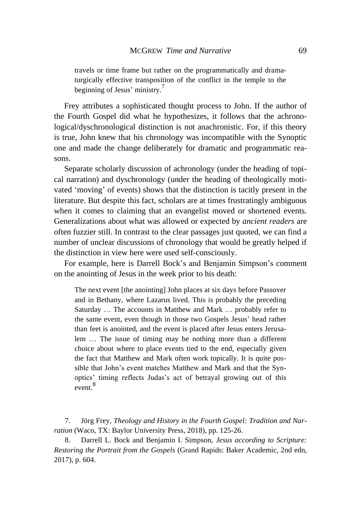travels or time frame but rather on the programmatically and dramaturgically effective transposition of the conflict in the temple to the beginning of Jesus' ministry.<sup>7</sup>

Frey attributes a sophisticated thought process to John. If the author of the Fourth Gospel did what he hypothesizes, it follows that the achronological/dyschronological distinction is not anachronistic. For, if this theory is true, John knew that his chronology was incompatible with the Synoptic one and made the change deliberately for dramatic and programmatic reasons.

Separate scholarly discussion of achronology (under the heading of topical narration) and dyschronology (under the heading of theologically motivated 'moving' of events) shows that the distinction is tacitly present in the literature. But despite this fact, scholars are at times frustratingly ambiguous when it comes to claiming that an evangelist moved or shortened events. Generalizations about what was allowed or expected by *ancient readers* are often fuzzier still. In contrast to the clear passages just quoted, we can find a number of unclear discussions of chronology that would be greatly helped if the distinction in view here were used self-consciously.

For example, here is Darrell Bock's and Benjamin Simpson's comment on the anointing of Jesus in the week prior to his death:

The next event [the anointing] John places at six days before Passover and in Bethany, where Lazarus lived. This is probably the preceding Saturday … The accounts in Matthew and Mark … probably refer to the same event, even though in those two Gospels Jesus' head rather than feet is anointed, and the event is placed after Jesus enters Jerusalem … The issue of timing may be nothing more than a different choice about where to place events tied to the end, especially given the fact that Matthew and Mark often work topically. It is quite possible that John's event matches Matthew and Mark and that the Synoptics' timing reflects Judas's act of betrayal growing out of this event.<sup>8</sup>

7. Jörg Frey, *Theology and History in the Fourth Gospel: Tradition and Narration* (Waco, TX: Baylor University Press, 2018), pp. 125-26.

8. Darrell L. Bock and Benjamin I. Simpson, *Jesus according to Scripture: Restoring the Portrait from the Gospels* (Grand Rapids: Baker Academic, 2nd edn, 2017), p. 604.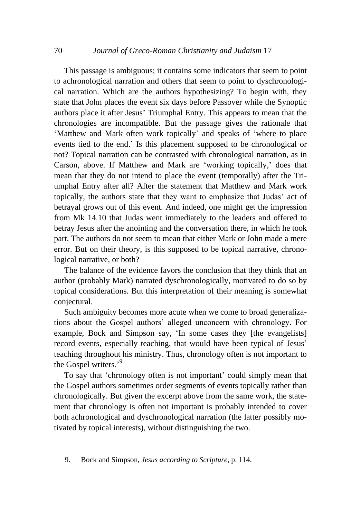#### 70 *Journal of Greco-Roman Christianity and Judaism* 17

This passage is ambiguous; it contains some indicators that seem to point to achronological narration and others that seem to point to dyschronological narration. Which are the authors hypothesizing? To begin with, they state that John places the event six days before Passover while the Synoptic authors place it after Jesus' Triumphal Entry. This appears to mean that the chronologies are incompatible. But the passage gives the rationale that 'Matthew and Mark often work topically' and speaks of 'where to place events tied to the end.' Is this placement supposed to be chronological or not? Topical narration can be contrasted with chronological narration, as in Carson, above. If Matthew and Mark are 'working topically,' does that mean that they do not intend to place the event (temporally) after the Triumphal Entry after all? After the statement that Matthew and Mark work topically, the authors state that they want to emphasize that Judas' act of betrayal grows out of this event. And indeed, one might get the impression from Mk 14.10 that Judas went immediately to the leaders and offered to betray Jesus after the anointing and the conversation there, in which he took part. The authors do not seem to mean that either Mark or John made a mere error. But on their theory, is this supposed to be topical narrative, chronological narrative, or both?

The balance of the evidence favors the conclusion that they think that an author (probably Mark) narrated dyschronologically, motivated to do so by topical considerations. But this interpretation of their meaning is somewhat conjectural.

Such ambiguity becomes more acute when we come to broad generalizations about the Gospel authors' alleged unconcern with chronology. For example, Bock and Simpson say, 'In some cases they [the evangelists] record events, especially teaching, that would have been typical of Jesus' teaching throughout his ministry. Thus, chronology often is not important to the Gospel writers.'<sup>9</sup>

To say that 'chronology often is not important' could simply mean that the Gospel authors sometimes order segments of events topically rather than chronologically. But given the excerpt above from the same work, the statement that chronology is often not important is probably intended to cover both achronological and dyschronological narration (the latter possibly motivated by topical interests), without distinguishing the two.

9. Bock and Simpson, *Jesus according to Scripture*, p. 114.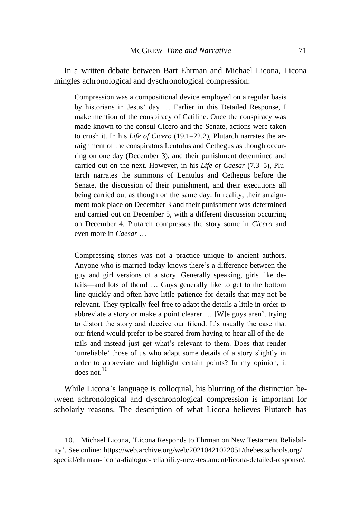In a written debate between Bart Ehrman and Michael Licona, Licona mingles achronological and dyschronological compression:

Compression was a compositional device employed on a regular basis by historians in Jesus' day … Earlier in this Detailed Response, I make mention of the conspiracy of Catiline. Once the conspiracy was made known to the consul Cicero and the Senate, actions were taken to crush it. In his *Life of Cicero* (19.1–22.2), Plutarch narrates the arraignment of the conspirators Lentulus and Cethegus as though occurring on one day (December 3), and their punishment determined and carried out on the next. However, in his *Life of Caesar* (7.3–5), Plutarch narrates the summons of Lentulus and Cethegus before the Senate, the discussion of their punishment, and their executions all being carried out as though on the same day. In reality, their arraignment took place on December 3 and their punishment was determined and carried out on December 5, with a different discussion occurring on December 4. Plutarch compresses the story some in *Cicero* and even more in *Caesar* …

Compressing stories was not a practice unique to ancient authors. Anyone who is married today knows there's a difference between the guy and girl versions of a story. Generally speaking, girls like details—and lots of them! … Guys generally like to get to the bottom line quickly and often have little patience for details that may not be relevant. They typically feel free to adapt the details a little in order to abbreviate a story or make a point clearer … [W]e guys aren't trying to distort the story and deceive our friend. It's usually the case that our friend would prefer to be spared from having to hear all of the details and instead just get what's relevant to them. Does that render 'unreliable' those of us who adapt some details of a story slightly in order to abbreviate and highlight certain points? In my opinion, it  $d$ oes not.<sup>10</sup>

While Licona's language is colloquial, his blurring of the distinction between achronological and dyschronological compression is important for scholarly reasons. The description of what Licona believes Plutarch has

10. Michael Licona, 'Licona Responds to Ehrman on New Testament Reliability'. See online: https://web.archive.org/web/20210421022051/thebestschools.org/ special/ehrman-licona-dialogue-reliability-new-testament/licona-detailed-response/.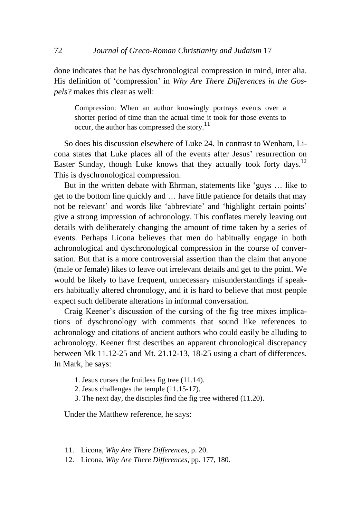done indicates that he has dyschronological compression in mind, inter alia. His definition of 'compression' in *Why Are There Differences in the Gospels?* makes this clear as well:

Compression: When an author knowingly portrays events over a shorter period of time than the actual time it took for those events to occur, the author has compressed the story.<sup>11</sup>

So does his discussion elsewhere of Luke 24. In contrast to Wenham, Licona states that Luke places all of the events after Jesus' resurrection on Easter Sunday, though Luke knows that they actually took forty days.<sup>12</sup> This is dyschronological compression.

But in the written debate with Ehrman, statements like 'guys … like to get to the bottom line quickly and … have little patience for details that may not be relevant' and words like 'abbreviate' and 'highlight certain points' give a strong impression of achronology. This conflates merely leaving out details with deliberately changing the amount of time taken by a series of events. Perhaps Licona believes that men do habitually engage in both achronological and dyschronological compression in the course of conversation. But that is a more controversial assertion than the claim that anyone (male or female) likes to leave out irrelevant details and get to the point. We would be likely to have frequent, unnecessary misunderstandings if speakers habitually altered chronology, and it is hard to believe that most people expect such deliberate alterations in informal conversation.

Craig Keener's discussion of the cursing of the fig tree mixes implications of dyschronology with comments that sound like references to achronology and citations of ancient authors who could easily be alluding to achronology. Keener first describes an apparent chronological discrepancy between Mk 11.12-25 and Mt. 21.12-13, 18-25 using a chart of differences. In Mark, he says:

- 1. Jesus curses the fruitless fig tree (11.14).
- 2. Jesus challenges the temple (11.15-17).
- 3. The next day, the disciples find the fig tree withered (11.20).

Under the Matthew reference, he says:

- 11. Licona, *Why Are There Differences*, p. 20.
- 12. Licona, *Why Are There Differences*, pp. 177, 180.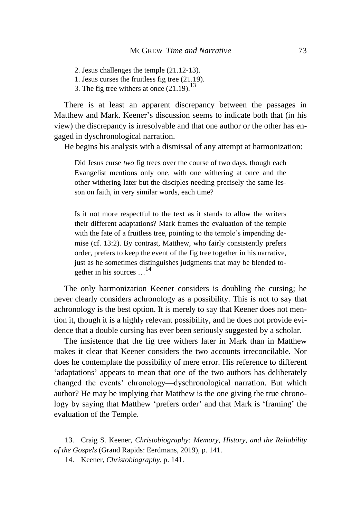2. Jesus challenges the temple (21.12-13).

1. Jesus curses the fruitless fig tree (21.19).

3. The fig tree withers at once  $(21.19)$ .<sup>13</sup>

There is at least an apparent discrepancy between the passages in Matthew and Mark. Keener's discussion seems to indicate both that (in his view) the discrepancy is irresolvable and that one author or the other has engaged in dyschronological narration.

He begins his analysis with a dismissal of any attempt at harmonization:

Did Jesus curse *two* fig trees over the course of two days, though each Evangelist mentions only one, with one withering at once and the other withering later but the disciples needing precisely the same lesson on faith, in very similar words, each time?

Is it not more respectful to the text as it stands to allow the writers their different adaptations? Mark frames the evaluation of the temple with the fate of a fruitless tree, pointing to the temple's impending demise (cf. 13:2). By contrast, Matthew, who fairly consistently prefers order, prefers to keep the event of the fig tree together in his narrative, just as he sometimes distinguishes judgments that may be blended together in his sources ...<sup>14</sup>

The only harmonization Keener considers is doubling the cursing; he never clearly considers achronology as a possibility. This is not to say that achronology is the best option. It is merely to say that Keener does not mention it, though it is a highly relevant possibility, and he does not provide evidence that a double cursing has ever been seriously suggested by a scholar.

The insistence that the fig tree withers later in Mark than in Matthew makes it clear that Keener considers the two accounts irreconcilable. Nor does he contemplate the possibility of mere error. His reference to different 'adaptations' appears to mean that one of the two authors has deliberately changed the events' chronology—dyschronological narration. But which author? He may be implying that Matthew is the one giving the true chronology by saying that Matthew 'prefers order' and that Mark is 'framing' the evaluation of the Temple.

13. Craig S. Keener, *Christobiography: Memory, History, and the Reliability of the Gospels* (Grand Rapids: Eerdmans, 2019), p. 141.

14. Keener, *Christobiography*, p. 141.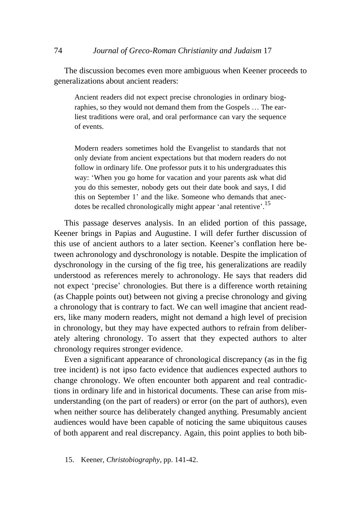The discussion becomes even more ambiguous when Keener proceeds to generalizations about ancient readers:

Ancient readers did not expect precise chronologies in ordinary biographies, so they would not demand them from the Gospels … The earliest traditions were oral, and oral performance can vary the sequence of events.

Modern readers sometimes hold the Evangelist to standards that not only deviate from ancient expectations but that modern readers do not follow in ordinary life. One professor puts it to his undergraduates this way: 'When you go home for vacation and your parents ask what did you do this semester, nobody gets out their date book and says, I did this on September 1' and the like. Someone who demands that anecdotes be recalled chronologically might appear 'anal retentive'. 15

This passage deserves analysis. In an elided portion of this passage, Keener brings in Papias and Augustine. I will defer further discussion of this use of ancient authors to a later section. Keener's conflation here between achronology and dyschronology is notable. Despite the implication of dyschronology in the cursing of the fig tree, his generalizations are readily understood as references merely to achronology. He says that readers did not expect 'precise' chronologies. But there is a difference worth retaining (as Chapple points out) between not giving a precise chronology and giving a chronology that is contrary to fact. We can well imagine that ancient readers, like many modern readers, might not demand a high level of precision in chronology, but they may have expected authors to refrain from deliberately altering chronology. To assert that they expected authors to alter chronology requires stronger evidence.

Even a significant appearance of chronological discrepancy (as in the fig tree incident) is not ipso facto evidence that audiences expected authors to change chronology. We often encounter both apparent and real contradictions in ordinary life and in historical documents. These can arise from misunderstanding (on the part of readers) or error (on the part of authors), even when neither source has deliberately changed anything. Presumably ancient audiences would have been capable of noticing the same ubiquitous causes of both apparent and real discrepancy. Again, this point applies to both bib-

15. Keener, *Christobiography*, pp. 141-42.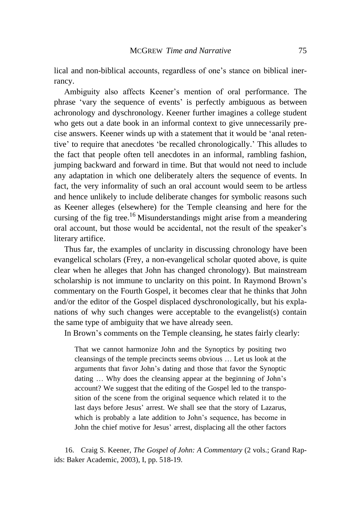lical and non-biblical accounts, regardless of one's stance on biblical inerrancy.

Ambiguity also affects Keener's mention of oral performance. The phrase 'vary the sequence of events' is perfectly ambiguous as between achronology and dyschronology. Keener further imagines a college student who gets out a date book in an informal context to give unnecessarily precise answers. Keener winds up with a statement that it would be 'anal retentive' to require that anecdotes 'be recalled chronologically.' This alludes to the fact that people often tell anecdotes in an informal, rambling fashion, jumping backward and forward in time. But that would not need to include any adaptation in which one deliberately alters the sequence of events. In fact, the very informality of such an oral account would seem to be artless and hence unlikely to include deliberate changes for symbolic reasons such as Keener alleges (elsewhere) for the Temple cleansing and here for the cursing of the fig tree.<sup>16</sup> Misunderstandings might arise from a meandering oral account, but those would be accidental, not the result of the speaker's literary artifice.

Thus far, the examples of unclarity in discussing chronology have been evangelical scholars (Frey, a non-evangelical scholar quoted above, is quite clear when he alleges that John has changed chronology). But mainstream scholarship is not immune to unclarity on this point. In Raymond Brown's commentary on the Fourth Gospel, it becomes clear that he thinks that John and/or the editor of the Gospel displaced dyschronologically, but his explanations of why such changes were acceptable to the evangelist(s) contain the same type of ambiguity that we have already seen.

In Brown's comments on the Temple cleansing, he states fairly clearly:

That we cannot harmonize John and the Synoptics by positing two cleansings of the temple precincts seems obvious … Let us look at the arguments that favor John's dating and those that favor the Synoptic dating … Why does the cleansing appear at the beginning of John's account? We suggest that the editing of the Gospel led to the transposition of the scene from the original sequence which related it to the last days before Jesus' arrest. We shall see that the story of Lazarus, which is probably a late addition to John's sequence, has become in John the chief motive for Jesus' arrest, displacing all the other factors

16. Craig S. Keener, *The Gospel of John: A Commentary* (2 vols.; Grand Rapids: Baker Academic, 2003), I, pp. 518-19.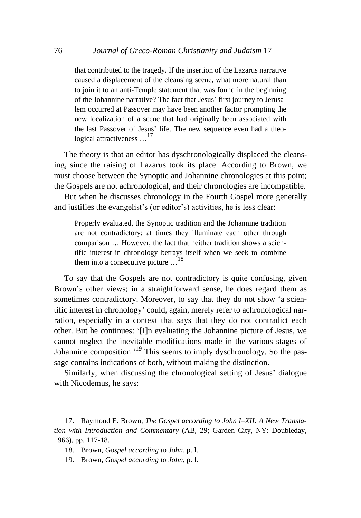that contributed to the tragedy. If the insertion of the Lazarus narrative caused a displacement of the cleansing scene, what more natural than to join it to an anti-Temple statement that was found in the beginning of the Johannine narrative? The fact that Jesus' first journey to Jerusalem occurred at Passover may have been another factor prompting the new localization of a scene that had originally been associated with the last Passover of Jesus' life. The new sequence even had a theological attractiveness ...<sup>17</sup>

The theory is that an editor has dyschronologically displaced the cleansing, since the raising of Lazarus took its place. According to Brown, we must choose between the Synoptic and Johannine chronologies at this point; the Gospels are not achronological, and their chronologies are incompatible.

But when he discusses chronology in the Fourth Gospel more generally and justifies the evangelist's (or editor's) activities, he is less clear:

Properly evaluated, the Synoptic tradition and the Johannine tradition are not contradictory; at times they illuminate each other through comparison … However, the fact that neither tradition shows a scientific interest in chronology betrays itself when we seek to combine them into a consecutive picture  $\ldots^{18}$ 

To say that the Gospels are not contradictory is quite confusing, given Brown's other views; in a straightforward sense, he does regard them as sometimes contradictory. Moreover, to say that they do not show 'a scientific interest in chronology' could, again, merely refer to achronological narration, especially in a context that says that they do not contradict each other. But he continues: '[I]n evaluating the Johannine picture of Jesus, we cannot neglect the inevitable modifications made in the various stages of Johannine composition.<sup>19</sup> This seems to imply dyschronology. So the passage contains indications of both, without making the distinction.

Similarly, when discussing the chronological setting of Jesus' dialogue with Nicodemus, he says:

17. Raymond E. Brown, *The Gospel according to John I–XII: A New Translation with Introduction and Commentary* (AB, 29; Garden City, NY: Doubleday, 1966), pp. 117-18.

18. Brown, *Gospel according to John*, p. l.

19. Brown, *Gospel according to John*, p. l.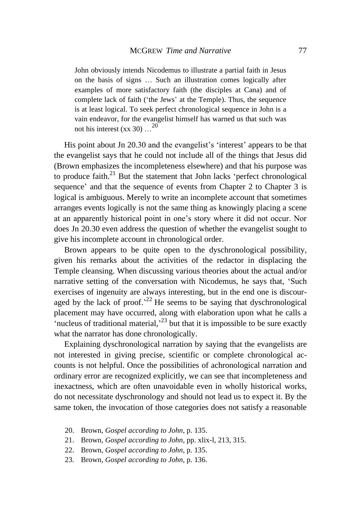John obviously intends Nicodemus to illustrate a partial faith in Jesus on the basis of signs … Such an illustration comes logically after examples of more satisfactory faith (the disciples at Cana) and of complete lack of faith ('the Jews' at the Temple). Thus, the sequence is at least logical. To seek perfect chronological sequence in John is a vain endeavor, for the evangelist himself has warned us that such was not his interest (xx 30)  $\dots^{20}$ 

His point about Jn 20.30 and the evangelist's 'interest' appears to be that the evangelist says that he could not include all of the things that Jesus did (Brown emphasizes the incompleteness elsewhere) and that his purpose was to produce faith. $^{21}$  But the statement that John lacks 'perfect chronological sequence' and that the sequence of events from Chapter 2 to Chapter 3 is logical is ambiguous. Merely to write an incomplete account that sometimes arranges events logically is not the same thing as knowingly placing a scene at an apparently historical point in one's story where it did not occur. Nor does Jn 20.30 even address the question of whether the evangelist sought to give his incomplete account in chronological order.

Brown appears to be quite open to the dyschronological possibility, given his remarks about the activities of the redactor in displacing the Temple cleansing. When discussing various theories about the actual and/or narrative setting of the conversation with Nicodemus, he says that, 'Such exercises of ingenuity are always interesting, but in the end one is discouraged by the lack of proof.<sup>22</sup> He seems to be saying that dyschronological placement may have occurred, along with elaboration upon what he calls a 'nucleus of traditional material,<sup> $23$ </sup> but that it is impossible to be sure exactly what the narrator has done chronologically.

Explaining dyschronological narration by saying that the evangelists are not interested in giving precise, scientific or complete chronological accounts is not helpful. Once the possibilities of achronological narration and ordinary error are recognized explicitly, we can see that incompleteness and inexactness, which are often unavoidable even in wholly historical works, do not necessitate dyschronology and should not lead us to expect it. By the same token, the invocation of those categories does not satisfy a reasonable

- 20. Brown, *Gospel according to John*, p. 135.
- 21. Brown, *Gospel according to John*, pp. xlix-l, 213, 315.
- 22. Brown, *Gospel according to John*, p. 135.
- 23. Brown, *Gospel according to John*, p. 136.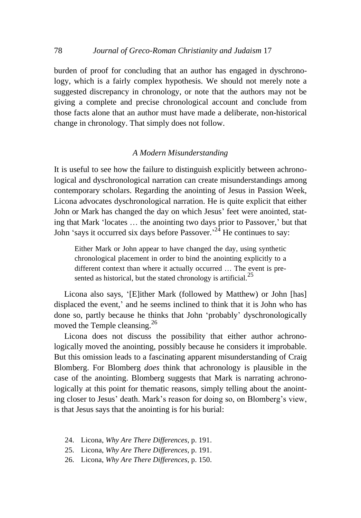burden of proof for concluding that an author has engaged in dyschronology, which is a fairly complex hypothesis. We should not merely note a suggested discrepancy in chronology, or note that the authors may not be giving a complete and precise chronological account and conclude from those facts alone that an author must have made a deliberate, non-historical change in chronology. That simply does not follow.

## *A Modern Misunderstanding*

It is useful to see how the failure to distinguish explicitly between achronological and dyschronological narration can create misunderstandings among contemporary scholars. Regarding the anointing of Jesus in Passion Week, Licona advocates dyschronological narration. He is quite explicit that either John or Mark has changed the day on which Jesus' feet were anointed, stating that Mark 'locates … the anointing two days prior to Passover,' but that John 'says it occurred six days before Passover.<sup>24</sup> He continues to say:

Either Mark or John appear to have changed the day, using synthetic chronological placement in order to bind the anointing explicitly to a different context than where it actually occurred … The event is presented as historical, but the stated chronology is artificial.<sup>25</sup>

Licona also says, '[E]ither Mark (followed by Matthew) or John [has] displaced the event,' and he seems inclined to think that it is John who has done so, partly because he thinks that John 'probably' dyschronologically moved the Temple cleansing.<sup>26</sup>

Licona does not discuss the possibility that either author achronologically moved the anointing, possibly because he considers it improbable. But this omission leads to a fascinating apparent misunderstanding of Craig Blomberg. For Blomberg *does* think that achronology is plausible in the case of the anointing. Blomberg suggests that Mark is narrating achronologically at this point for thematic reasons, simply telling about the anointing closer to Jesus' death. Mark's reason for doing so, on Blomberg's view, is that Jesus says that the anointing is for his burial:

- 24. Licona, *Why Are There Differences*, p. 191.
- 25. Licona, *Why Are There Differences*, p. 191.
- 26. Licona, *Why Are There Differences*, p. 150.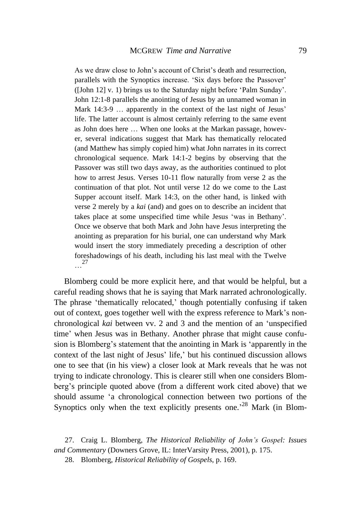As we draw close to John's account of Christ's death and resurrection, parallels with the Synoptics increase. 'Six days before the Passover' ([John 12] v. 1) brings us to the Saturday night before 'Palm Sunday'. John 12:1-8 parallels the anointing of Jesus by an unnamed woman in Mark 14:3-9 … apparently in the context of the last night of Jesus' life. The latter account is almost certainly referring to the same event as John does here … When one looks at the Markan passage, however, several indications suggest that Mark has thematically relocated (and Matthew has simply copied him) what John narrates in its correct chronological sequence. Mark 14:1-2 begins by observing that the Passover was still two days away, as the authorities continued to plot how to arrest Jesus. Verses 10-11 flow naturally from verse 2 as the continuation of that plot. Not until verse 12 do we come to the Last Supper account itself. Mark 14:3, on the other hand, is linked with verse 2 merely by a *kai* (and) and goes on to describe an incident that takes place at some unspecified time while Jesus 'was in Bethany'. Once we observe that both Mark and John have Jesus interpreting the anointing as preparation for his burial, one can understand why Mark would insert the story immediately preceding a description of other foreshadowings of his death, including his last meal with the Twelve … 27

Blomberg could be more explicit here, and that would be helpful, but a careful reading shows that he is saying that Mark narrated achronologically. The phrase 'thematically relocated,' though potentially confusing if taken out of context, goes together well with the express reference to Mark's nonchronological *kai* between vv. 2 and 3 and the mention of an 'unspecified time' when Jesus was in Bethany. Another phrase that might cause confusion is Blomberg's statement that the anointing in Mark is 'apparently in the context of the last night of Jesus' life,' but his continued discussion allows one to see that (in his view) a closer look at Mark reveals that he was not trying to indicate chronology. This is clearer still when one considers Blomberg's principle quoted above (from a different work cited above) that we should assume 'a chronological connection between two portions of the Synoptics only when the text explicitly presents one.<sup>28</sup> Mark (in Blom-

27. Craig L. Blomberg, *The Historical Reliability of John's Gospel: Issues and Commentary* (Downers Grove, IL: InterVarsity Press, 2001), p. 175.

28. Blomberg, *Historical Reliability of Gospels*, p. 169.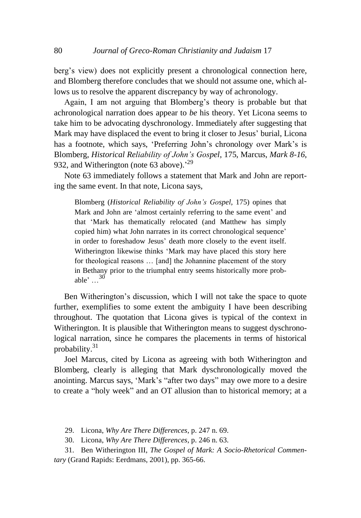berg's view) does not explicitly present a chronological connection here, and Blomberg therefore concludes that we should not assume one, which allows us to resolve the apparent discrepancy by way of achronology.

Again, I am not arguing that Blomberg's theory is probable but that achronological narration does appear to *be* his theory. Yet Licona seems to take him to be advocating dyschronology. Immediately after suggesting that Mark may have displaced the event to bring it closer to Jesus' burial, Licona has a footnote, which says, 'Preferring John's chronology over Mark's is Blomberg, *Historical Reliability of John's Gospel*, 175, Marcus, *Mark 8-16*, 932, and Witherington (note 63 above).<sup>29</sup>

Note 63 immediately follows a statement that Mark and John are reporting the same event. In that note, Licona says,

Blomberg (*Historical Reliability of John's Gospel*, 175) opines that Mark and John are 'almost certainly referring to the same event' and that 'Mark has thematically relocated (and Matthew has simply copied him) what John narrates in its correct chronological sequence' in order to foreshadow Jesus' death more closely to the event itself. Witherington likewise thinks 'Mark may have placed this story here for theological reasons … [and] the Johannine placement of the story in Bethany prior to the triumphal entry seems historically more probable'  $\dots$ <sup>30</sup>

Ben Witherington's discussion, which I will not take the space to quote further, exemplifies to some extent the ambiguity I have been describing throughout. The quotation that Licona gives is typical of the context in Witherington. It is plausible that Witherington means to suggest dyschronological narration, since he compares the placements in terms of historical probability.<sup>31</sup>

Joel Marcus, cited by Licona as agreeing with both Witherington and Blomberg, clearly is alleging that Mark dyschronologically moved the anointing. Marcus says, 'Mark's "after two days" may owe more to a desire to create a "holy week" and an OT allusion than to historical memory; at a

29. Licona, *Why Are There Differences*, p. 247 n. 69.

30. Licona, *Why Are There Differences*, p. 246 n. 63.

31. Ben Witherington III, *The Gospel of Mark: A Socio-Rhetorical Commentary* (Grand Rapids: Eerdmans, 2001), pp. 365-66.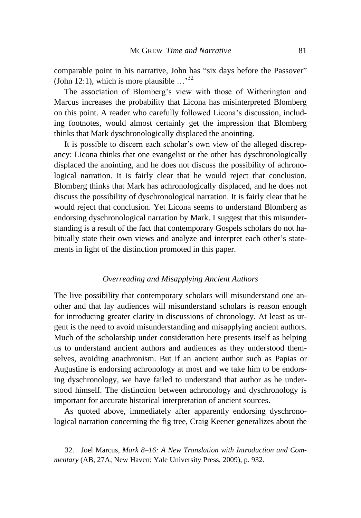comparable point in his narrative, John has "six days before the Passover" (John 12:1), which is more plausible  $\ldots$ <sup>32</sup>

The association of Blomberg's view with those of Witherington and Marcus increases the probability that Licona has misinterpreted Blomberg on this point. A reader who carefully followed Licona's discussion, including footnotes, would almost certainly get the impression that Blomberg thinks that Mark dyschronologically displaced the anointing.

It is possible to discern each scholar's own view of the alleged discrepancy: Licona thinks that one evangelist or the other has dyschronologically displaced the anointing, and he does not discuss the possibility of achronological narration. It is fairly clear that he would reject that conclusion. Blomberg thinks that Mark has achronologically displaced, and he does not discuss the possibility of dyschronological narration. It is fairly clear that he would reject that conclusion. Yet Licona seems to understand Blomberg as endorsing dyschronological narration by Mark. I suggest that this misunderstanding is a result of the fact that contemporary Gospels scholars do not habitually state their own views and analyze and interpret each other's statements in light of the distinction promoted in this paper.

#### *Overreading and Misapplying Ancient Authors*

The live possibility that contemporary scholars will misunderstand one another and that lay audiences will misunderstand scholars is reason enough for introducing greater clarity in discussions of chronology. At least as urgent is the need to avoid misunderstanding and misapplying ancient authors. Much of the scholarship under consideration here presents itself as helping us to understand ancient authors and audiences as they understood themselves, avoiding anachronism. But if an ancient author such as Papias or Augustine is endorsing achronology at most and we take him to be endorsing dyschronology, we have failed to understand that author as he understood himself. The distinction between achronology and dyschronology is important for accurate historical interpretation of ancient sources.

As quoted above, immediately after apparently endorsing dyschronological narration concerning the fig tree, Craig Keener generalizes about the

<sup>32.</sup> Joel Marcus, *Mark 8–16: A New Translation with Introduction and Commentary* (AB, 27A; New Haven: Yale University Press, 2009), p. 932.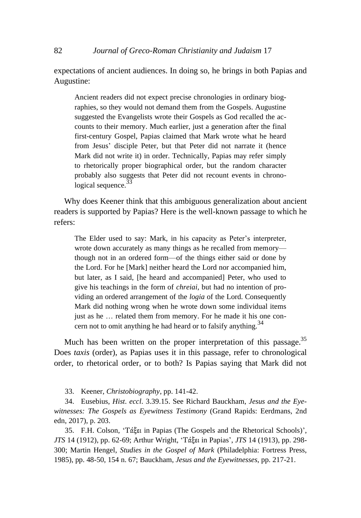expectations of ancient audiences. In doing so, he brings in both Papias and Augustine:

Ancient readers did not expect precise chronologies in ordinary biographies, so they would not demand them from the Gospels. Augustine suggested the Evangelists wrote their Gospels as God recalled the accounts to their memory. Much earlier, just a generation after the final first-century Gospel, Papias claimed that Mark wrote what he heard from Jesus' disciple Peter, but that Peter did not narrate it (hence Mark did not write it) in order. Technically, Papias may refer simply to rhetorically proper biographical order, but the random character probably also suggests that Peter did not recount events in chronological sequence.<sup>33</sup>

Why does Keener think that this ambiguous generalization about ancient readers is supported by Papias? Here is the well-known passage to which he refers:

The Elder used to say: Mark, in his capacity as Peter's interpreter, wrote down accurately as many things as he recalled from memory though not in an ordered form—of the things either said or done by the Lord. For he [Mark] neither heard the Lord nor accompanied him, but later, as I said, [he heard and accompanied] Peter, who used to give his teachings in the form of *chreiai*, but had no intention of providing an ordered arrangement of the *logia* of the Lord. Consequently Mark did nothing wrong when he wrote down some individual items just as he ... related them from memory. For he made it his one concern not to omit anything he had heard or to falsify anything.<sup>34</sup>

Much has been written on the proper interpretation of this passage.<sup>35</sup> Does *taxis* (order), as Papias uses it in this passage, refer to chronological order, to rhetorical order, or to both? Is Papias saying that Mark did not

33. Keener, *Christobiography*, pp. 141-42.

34. Eusebius, *Hist*. *eccl*. 3.39.15. See Richard Bauckham, *Jesus and the Eyewitnesses: The Gospels as Eyewitness Testimony* (Grand Rapids: Eerdmans, 2nd edn, 2017), p. 203.

35. F.H. Colson, 'Τάξει in Papias (The Gospels and the Rhetorical Schools)', *JTS* 14 (1912), pp. 62-69; Arthur Wright, 'Τάξει in Papias', *JTS* 14 (1913), pp. 298- 300; Martin Hengel, *Studies in the Gospel of Mark* (Philadelphia: Fortress Press, 1985), pp. 48-50, 154 n. 67; Bauckham, *Jesus and the Eyewitnesses*, pp. 217-21.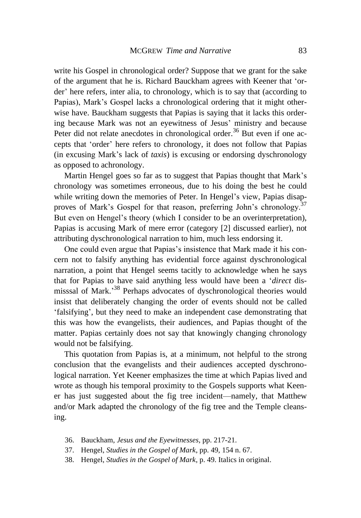write his Gospel in chronological order? Suppose that we grant for the sake of the argument that he is. Richard Bauckham agrees with Keener that 'order' here refers, inter alia, to chronology, which is to say that (according to Papias), Mark's Gospel lacks a chronological ordering that it might otherwise have. Bauckham suggests that Papias is saying that it lacks this ordering because Mark was not an eyewitness of Jesus' ministry and because Peter did not relate anecdotes in chronological order.<sup>36</sup> But even if one accepts that 'order' here refers to chronology, it does not follow that Papias (in excusing Mark's lack of *taxis*) is excusing or endorsing dyschronology as opposed to achronology.

Martin Hengel goes so far as to suggest that Papias thought that Mark's chronology was sometimes erroneous, due to his doing the best he could while writing down the memories of Peter. In Hengel's view, Papias disapproves of Mark's Gospel for that reason, preferring John's chronology.<sup>37</sup> But even on Hengel's theory (which I consider to be an overinterpretation), Papias is accusing Mark of mere error (category [2] discussed earlier), not attributing dyschronological narration to him, much less endorsing it.

One could even argue that Papias's insistence that Mark made it his concern not to falsify anything has evidential force against dyschronological narration, a point that Hengel seems tacitly to acknowledge when he says that for Papias to have said anything less would have been a '*direct* dismisssal of Mark.<sup>38</sup> Perhaps advocates of dyschronological theories would insist that deliberately changing the order of events should not be called 'falsifying', but they need to make an independent case demonstrating that this was how the evangelists, their audiences, and Papias thought of the matter. Papias certainly does not say that knowingly changing chronology would not be falsifying.

This quotation from Papias is, at a minimum, not helpful to the strong conclusion that the evangelists and their audiences accepted dyschronological narration. Yet Keener emphasizes the time at which Papias lived and wrote as though his temporal proximity to the Gospels supports what Keener has just suggested about the fig tree incident—namely, that Matthew and/or Mark adapted the chronology of the fig tree and the Temple cleansing.

- 36. Bauckham, *Jesus and the Eyewitnesses,* pp. 217-21.
- 37. Hengel, *Studies in the Gospel of Mark*, pp. 49, 154 n. 67.
- 38. Hengel, *Studies in the Gospel of Mark*, p. 49. Italics in original.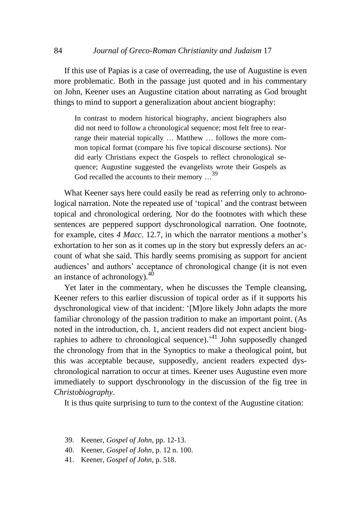If this use of Papias is a case of overreading, the use of Augustine is even more problematic. Both in the passage just quoted and in his commentary on John, Keener uses an Augustine citation about narrating as God brought things to mind to support a generalization about ancient biography:

In contrast to modern historical biography, ancient biographers also did not need to follow a chronological sequence; most felt free to rearrange their material topically … Matthew … follows the more common topical format (compare his five topical discourse sections). Nor did early Christians expect the Gospels to reflect chronological sequence; Augustine suggested the evangelists wrote their Gospels as God recalled the accounts to their memory  $\ldots$ <sup>39</sup>

What Keener says here could easily be read as referring only to achronological narration. Note the repeated use of 'topical' and the contrast between topical and chronological ordering. Nor do the footnotes with which these sentences are peppered support dyschronological narration. One footnote, for example, cites *4 Macc*. 12.7, in which the narrator mentions a mother's exhortation to her son as it comes up in the story but expressly defers an account of what she said. This hardly seems promising as support for ancient audiences' and authors' acceptance of chronological change (it is not even an instance of achronology). $^{40}$ 

Yet later in the commentary, when he discusses the Temple cleansing, Keener refers to this earlier discussion of topical order as if it supports his dyschronological view of that incident: '[M]ore likely John adapts the more familiar chronology of the passion tradition to make an important point. (As noted in the introduction, ch. 1, ancient readers did not expect ancient biographies to adhere to chronological sequence).<sup> $41$ </sup> John supposedly changed the chronology from that in the Synoptics to make a theological point, but this was acceptable because, supposedly, ancient readers expected dyschronological narration to occur at times. Keener uses Augustine even more immediately to support dyschronology in the discussion of the fig tree in *Christobiography*.

It is thus quite surprising to turn to the context of the Augustine citation:

- 39. Keener, *Gospel of John*, pp. 12-13.
- 40. Keener, *Gospel of John*, p. 12 n. 100.
- 41. Keener, *Gospel of John*, p. 518.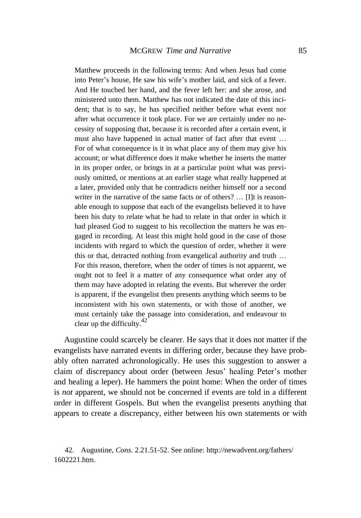Matthew proceeds in the following terms: And when Jesus had come into Peter's house, He saw his wife's mother laid, and sick of a fever. And He touched her hand, and the fever left her: and she arose, and ministered unto them. Matthew has not indicated the date of this incident; that is to say, he has specified neither before what event nor after what occurrence it took place. For we are certainly under no necessity of supposing that, because it is recorded after a certain event, it must also have happened in actual matter of fact after that event … For of what consequence is it in what place any of them may give his account; or what difference does it make whether he inserts the matter in its proper order, or brings in at a particular point what was previously omitted, or mentions at an earlier stage what really happened at a later, provided only that he contradicts neither himself nor a second writer in the narrative of the same facts or of others? ... IIIt is reasonable enough to suppose that each of the evangelists believed it to have been his duty to relate what he had to relate in that order in which it had pleased God to suggest to his recollection the matters he was engaged in recording. At least this might hold good in the case of those incidents with regard to which the question of order, whether it were this or that, detracted nothing from evangelical authority and truth … For this reason, therefore, when the order of times is not apparent, we ought not to feel it a matter of any consequence what order any of them may have adopted in relating the events. But wherever the order is apparent, if the evangelist then presents anything which seems to be inconsistent with his own statements, or with those of another, we must certainly take the passage into consideration, and endeavour to clear up the difficulty. $42$ 

Augustine could scarcely be clearer. He says that it does not matter if the evangelists have narrated events in differing order, because they have probably often narrated achronologically. He uses this suggestion to answer a claim of discrepancy about order (between Jesus' healing Peter's mother and healing a leper). He hammers the point home: When the order of times is *not* apparent, we should not be concerned if events are told in a different order in different Gospels. But when the evangelist presents anything that appears to create a discrepancy, either between his own statements or with

<sup>42.</sup> Augustine, *Cons*. 2.21.51-52. See online: http://newadvent.org/fathers/ 1602221.htm.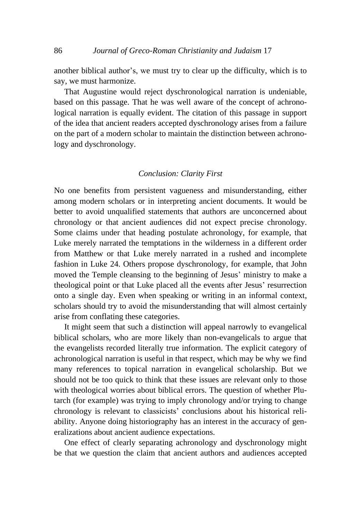another biblical author's, we must try to clear up the difficulty, which is to say, we must harmonize.

That Augustine would reject dyschronological narration is undeniable, based on this passage. That he was well aware of the concept of achronological narration is equally evident. The citation of this passage in support of the idea that ancient readers accepted dyschronology arises from a failure on the part of a modern scholar to maintain the distinction between achronology and dyschronology.

## *Conclusion: Clarity First*

No one benefits from persistent vagueness and misunderstanding, either among modern scholars or in interpreting ancient documents. It would be better to avoid unqualified statements that authors are unconcerned about chronology or that ancient audiences did not expect precise chronology. Some claims under that heading postulate achronology, for example, that Luke merely narrated the temptations in the wilderness in a different order from Matthew or that Luke merely narrated in a rushed and incomplete fashion in Luke 24. Others propose dyschronology, for example, that John moved the Temple cleansing to the beginning of Jesus' ministry to make a theological point or that Luke placed all the events after Jesus' resurrection onto a single day. Even when speaking or writing in an informal context, scholars should try to avoid the misunderstanding that will almost certainly arise from conflating these categories.

It might seem that such a distinction will appeal narrowly to evangelical biblical scholars, who are more likely than non-evangelicals to argue that the evangelists recorded literally true information. The explicit category of achronological narration is useful in that respect, which may be why we find many references to topical narration in evangelical scholarship. But we should not be too quick to think that these issues are relevant only to those with theological worries about biblical errors. The question of whether Plutarch (for example) was trying to imply chronology and/or trying to change chronology is relevant to classicists' conclusions about his historical reliability. Anyone doing historiography has an interest in the accuracy of generalizations about ancient audience expectations.

One effect of clearly separating achronology and dyschronology might be that we question the claim that ancient authors and audiences accepted